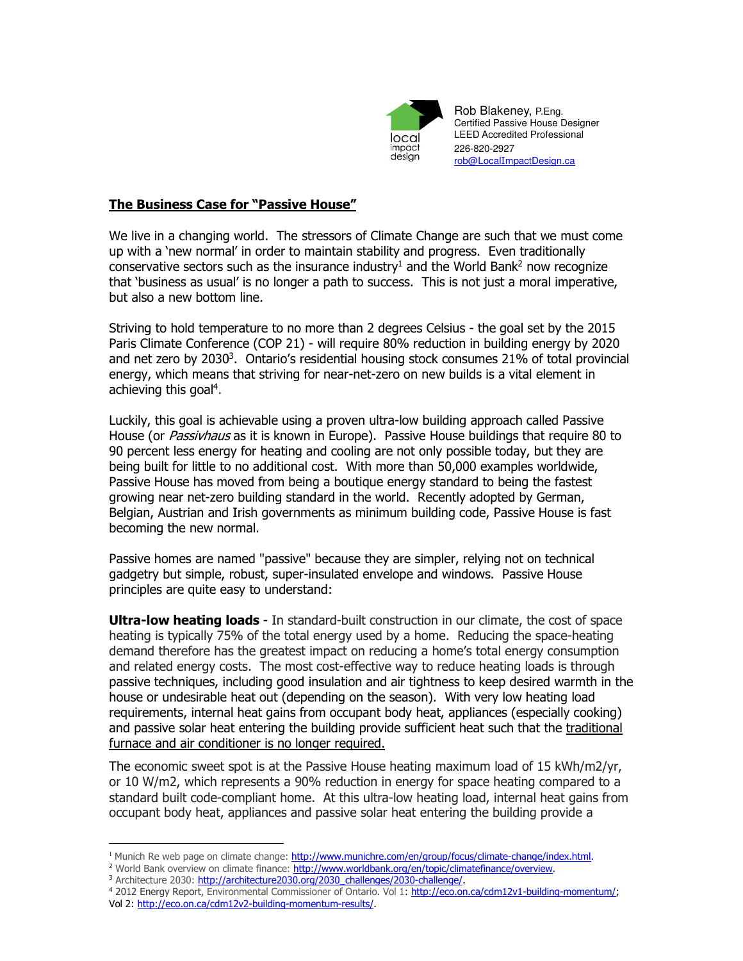

Rob Blakeney, P.Eng. Certified Passive House Designer LEED Accredited Professional 226-820-2927 rob@LocalImpactDesign.ca

# **The Business Case for "Passive House"**

We live in a changing world. The stressors of Climate Change are such that we must come up with a 'new normal' in order to maintain stability and progress. Even traditionally conservative sectors such as the insurance industry<sup>1</sup> and the World Bank<sup>2</sup> now recognize that 'business as usual' is no longer a path to success. This is not just a moral imperative, but also a new bottom line.

Striving to hold temperature to no more than 2 degrees Celsius - the goal set by the 2015 Paris Climate Conference (COP 21) - will require 80% reduction in building energy by 2020 and net zero by 2030<sup>3</sup>. Ontario's residential housing stock consumes 21% of total provincial energy, which means that striving for near-net-zero on new builds is a vital element in achieving this goal<sup>4</sup>.

Luckily, this goal is achievable using a proven ultra-low building approach called Passive House (or *Passivhaus* as it is known in Europe). Passive House buildings that require 80 to 90 percent less energy for heating and cooling are not only possible today, but they are being built for little to no additional cost. With more than 50,000 examples worldwide, Passive House has moved from being a boutique energy standard to being the fastest growing near net-zero building standard in the world. Recently adopted by German, Belgian, Austrian and Irish governments as minimum building code, Passive House is fast becoming the new normal.

Passive homes are named "passive" because they are simpler, relying not on technical gadgetry but simple, robust, super-insulated envelope and windows. Passive House principles are quite easy to understand:

**Ultra-low heating loads** - In standard-built construction in our climate, the cost of space heating is typically 75% of the total energy used by a home. Reducing the space-heating demand therefore has the greatest impact on reducing a home's total energy consumption and related energy costs. The most cost-effective way to reduce heating loads is through passive techniques, including good insulation and air tightness to keep desired warmth in the house or undesirable heat out (depending on the season). With very low heating load requirements, internal heat gains from occupant body heat, appliances (especially cooking) and passive solar heat entering the building provide sufficient heat such that the traditional furnace and air conditioner is no longer required.

The economic sweet spot is at the Passive House heating maximum load of 15 kWh/m2/yr, or 10 W/m2, which represents a 90% reduction in energy for space heating compared to a standard built code-compliant home. At this ultra-low heating load, internal heat gains from occupant body heat, appliances and passive solar heat entering the building provide a

 $\overline{a}$ 

<sup>&</sup>lt;sup>1</sup> Munich Re web page on climate change: http://www.munichre.com/en/group/focus/climate-change/index.html.

<sup>&</sup>lt;sup>2</sup> World Bank overview on climate finance: http://www.worldbank.org/en/topic/climatefinance/overview. <sup>3</sup> Architecture 2030: http://architecture2030.org/2030\_challenges/2030-challenge/.

<sup>4</sup> 2012 Energy Report, Environmental Commissioner of Ontario. Vol 1: http://eco.on.ca/cdm12v1-building-momentum/; Vol 2: http://eco.on.ca/cdm12v2-building-momentum-results/.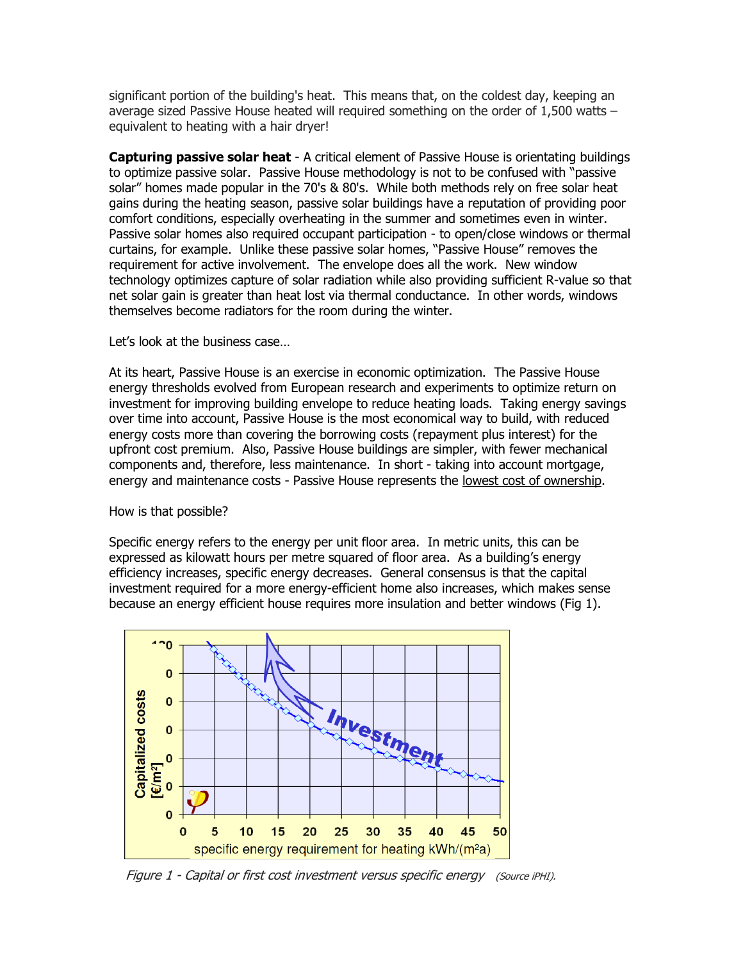significant portion of the building's heat. This means that, on the coldest day, keeping an average sized Passive House heated will required something on the order of 1,500 watts – equivalent to heating with a hair dryer!

**Capturing passive solar heat** - A critical element of Passive House is orientating buildings to optimize passive solar. Passive House methodology is not to be confused with "passive solar" homes made popular in the 70's & 80's. While both methods rely on free solar heat gains during the heating season, passive solar buildings have a reputation of providing poor comfort conditions, especially overheating in the summer and sometimes even in winter. Passive solar homes also required occupant participation - to open/close windows or thermal curtains, for example. Unlike these passive solar homes, "Passive House" removes the requirement for active involvement. The envelope does all the work. New window technology optimizes capture of solar radiation while also providing sufficient R-value so that net solar gain is greater than heat lost via thermal conductance. In other words, windows themselves become radiators for the room during the winter.

Let's look at the business case…

At its heart, Passive House is an exercise in economic optimization. The Passive House energy thresholds evolved from European research and experiments to optimize return on investment for improving building envelope to reduce heating loads. Taking energy savings over time into account, Passive House is the most economical way to build, with reduced energy costs more than covering the borrowing costs (repayment plus interest) for the upfront cost premium. Also, Passive House buildings are simpler, with fewer mechanical components and, therefore, less maintenance. In short - taking into account mortgage, energy and maintenance costs - Passive House represents the lowest cost of ownership.

How is that possible?

Specific energy refers to the energy per unit floor area. In metric units, this can be expressed as kilowatt hours per metre squared of floor area. As a building's energy efficiency increases, specific energy decreases. General consensus is that the capital investment required for a more energy-efficient home also increases, which makes sense because an energy efficient house requires more insulation and better windows (Fig 1).



Figure 1 - Capital or first cost investment versus specific energy (Source iPHI).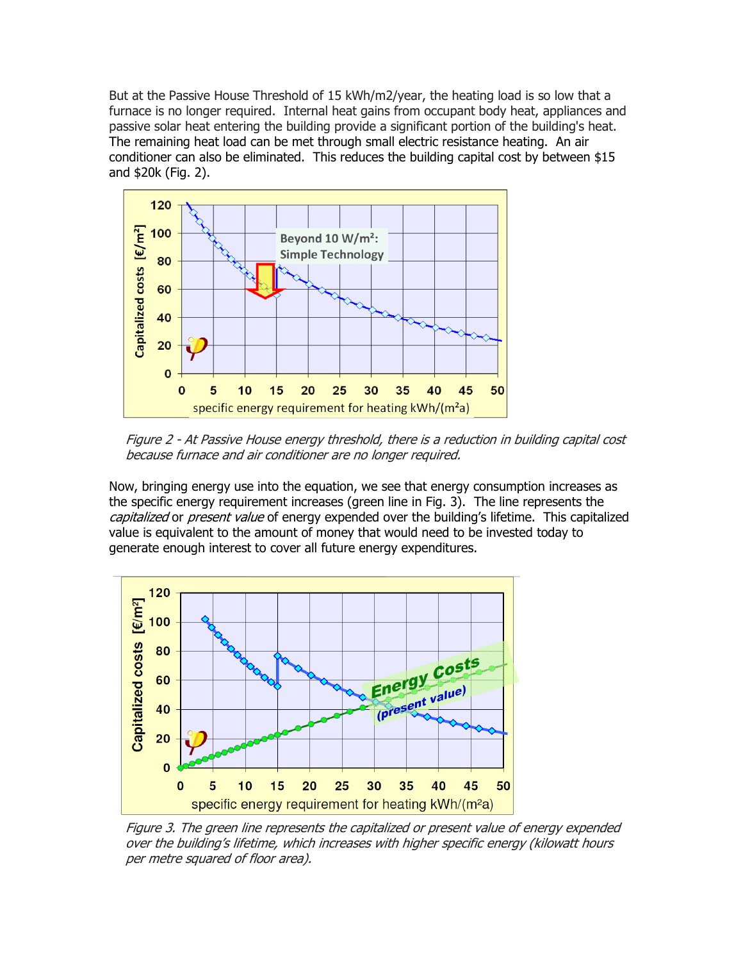But at the Passive House Threshold of 15 kWh/m2/year, the heating load is so low that a furnace is no longer required. Internal heat gains from occupant body heat, appliances and passive solar heat entering the building provide a significant portion of the building's heat. The remaining heat load can be met through small electric resistance heating. An air conditioner can also be eliminated. This reduces the building capital cost by between \$15 and \$20k (Fig. 2).



Figure 2 - At Passive House energy threshold, there is a reduction in building capital cost because furnace and air conditioner are no longer required.

Now, bringing energy use into the equation, we see that energy consumption increases as the specific energy requirement increases (green line in Fig. 3). The line represents the capitalized or present value of energy expended over the building's lifetime. This capitalized value is equivalent to the amount of money that would need to be invested today to generate enough interest to cover all future energy expenditures.



Figure 3. The green line represents the capitalized or present value of energy expended over the building's lifetime, which increases with higher specific energy (kilowatt hours per metre squared of floor area).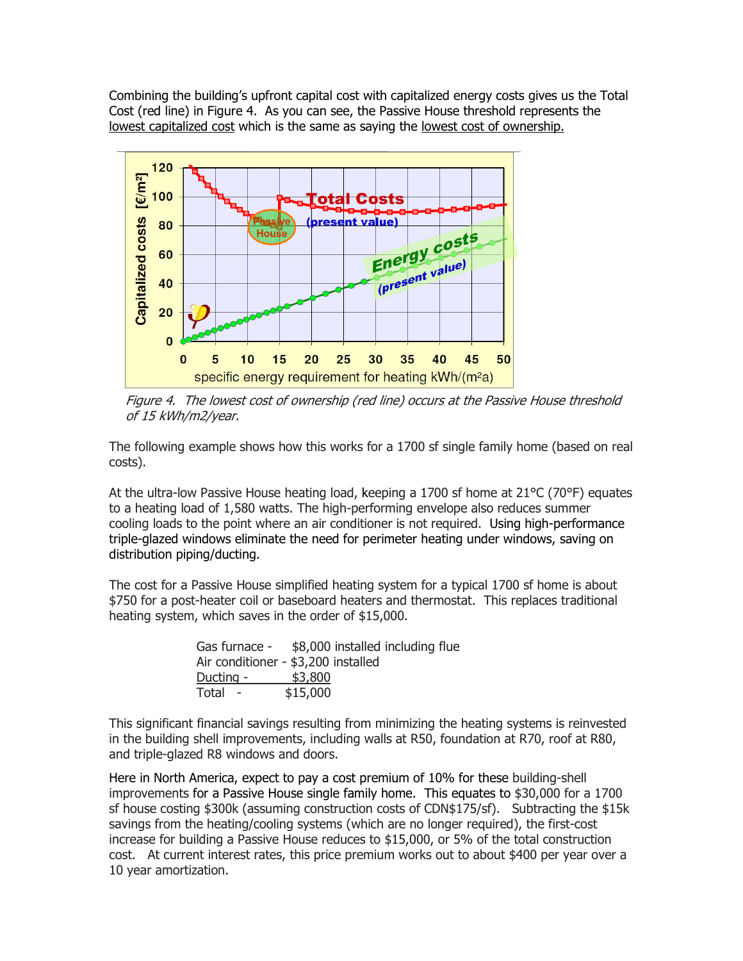Combining the building's upfront capital cost with capitalized energy costs gives us the Total Cost (red line) in Figure 4. As you can see, the Passive House threshold represents the lowest capitalized cost which is the same as saying the lowest cost of ownership.



Figure 4. The lowest cost of ownership (red line) occurs at the Passive House threshold of 15 kWh/m2/year.

The following example shows how this works for a 1700 sf single family home (based on real costs).

At the ultra-low Passive House heating load, keeping a 1700 sf home at 21°C (70°F) equates to a heating load of 1,580 watts. The high-performing envelope also reduces summer cooling loads to the point where an air conditioner is not required. Using high-performance triple-glazed windows eliminate the need for perimeter heating under windows, saving on distribution piping/ducting.

The cost for a Passive House simplified heating system for a typical 1700 sf home is about \$750 for a post-heater coil or baseboard heaters and thermostat. This replaces traditional heating system, which saves in the order of \$15,000.

| Gas furnace -                       |          | \$8,000 installed including flue |  |
|-------------------------------------|----------|----------------------------------|--|
| Air conditioner - \$3,200 installed |          |                                  |  |
| Ducting -                           | \$3,800  |                                  |  |
| Total                               | \$15,000 |                                  |  |

This significant financial savings resulting from minimizing the heating systems is reinvested in the building shell improvements, including walls at R50, foundation at R70, roof at R80, and triple-glazed R8 windows and doors.

Here in North America, expect to pay a cost premium of 10% for these building-shell improvements for a Passive House single family home. This equates to \$30,000 for a 1700 sf house costing \$300k (assuming construction costs of CDN\$175/sf). Subtracting the \$15k savings from the heating/cooling systems (which are no longer required), the first-cost increase for building a Passive House reduces to \$15,000, or 5% of the total construction cost. At current interest rates, this price premium works out to about \$400 per year over a 10 year amortization.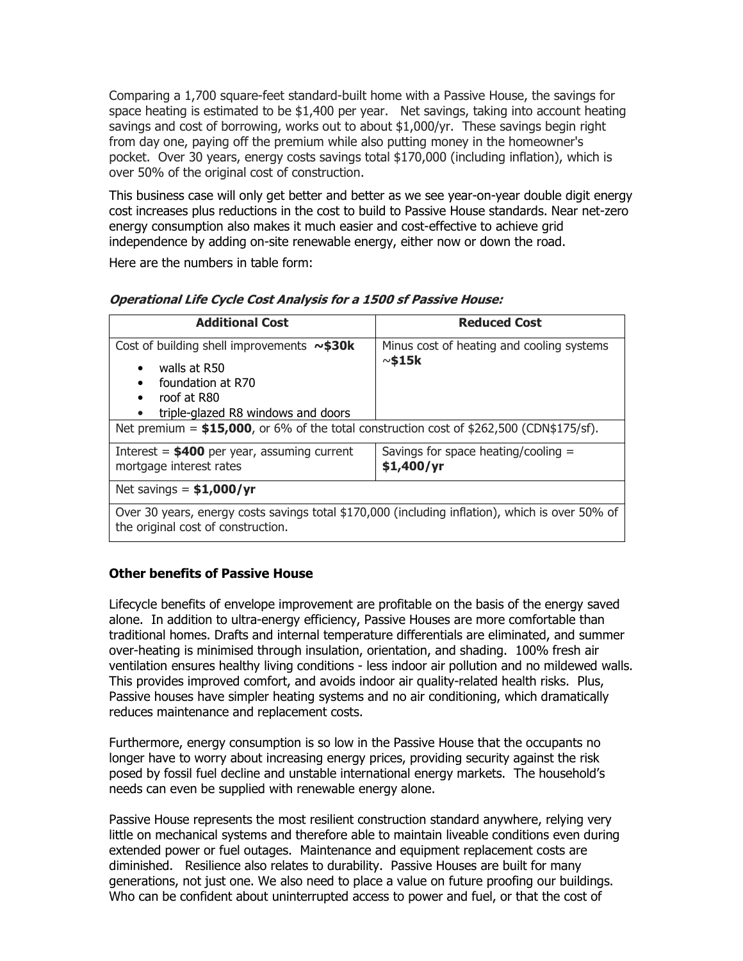Comparing a 1,700 square-feet standard-built home with a Passive House, the savings for space heating is estimated to be \$1,400 per year. Net savings, taking into account heating savings and cost of borrowing, works out to about \$1,000/yr. These savings begin right from day one, paying off the premium while also putting money in the homeowner's pocket. Over 30 years, energy costs savings total \$170,000 (including inflation), which is over 50% of the original cost of construction.

This business case will only get better and better as we see year-on-year double digit energy cost increases plus reductions in the cost to build to Passive House standards. Near net-zero energy consumption also makes it much easier and cost-effective to achieve grid independence by adding on-site renewable energy, either now or down the road.

Here are the numbers in table form:

| <b>Additional Cost</b>                                                                                                                                                                         | <b>Reduced Cost</b>                                          |  |  |
|------------------------------------------------------------------------------------------------------------------------------------------------------------------------------------------------|--------------------------------------------------------------|--|--|
| Cost of building shell improvements $\sim$ \$30k<br>walls at R50<br>$\bullet$<br>foundation at R70<br>$\bullet$<br>roof at R80<br>$\bullet$<br>triple-glazed R8 windows and doors<br>$\bullet$ | Minus cost of heating and cooling systems<br>$\sim$ \$15 $k$ |  |  |
| Net premium = $$15,000$ , or 6% of the total construction cost of $$262,500$ (CDN\$175/sf).                                                                                                    |                                                              |  |  |
| Interest = $$400$ per year, assuming current<br>mortgage interest rates                                                                                                                        | Savings for space heating/cooling $=$<br>\$1,400/yr          |  |  |
| Net savings = $$1,000/yr$                                                                                                                                                                      |                                                              |  |  |

#### **Operational Life Cycle Cost Analysis for a 1500 sf Passive House:**

Over 30 years, energy costs savings total \$170,000 (including inflation), which is over 50% of the original cost of construction.

### **Other benefits of Passive House**

Lifecycle benefits of envelope improvement are profitable on the basis of the energy saved alone. In addition to ultra-energy efficiency, Passive Houses are more comfortable than traditional homes. Drafts and internal temperature differentials are eliminated, and summer over-heating is minimised through insulation, orientation, and shading. 100% fresh air ventilation ensures healthy living conditions - less indoor air pollution and no mildewed walls. This provides improved comfort, and avoids indoor air quality-related health risks. Plus, Passive houses have simpler heating systems and no air conditioning, which dramatically reduces maintenance and replacement costs.

Furthermore, energy consumption is so low in the Passive House that the occupants no longer have to worry about increasing energy prices, providing security against the risk posed by fossil fuel decline and unstable international energy markets. The household's needs can even be supplied with renewable energy alone.

Passive House represents the most resilient construction standard anywhere, relying very little on mechanical systems and therefore able to maintain liveable conditions even during extended power or fuel outages. Maintenance and equipment replacement costs are diminished. Resilience also relates to durability. Passive Houses are built for many generations, not just one. We also need to place a value on future proofing our buildings. Who can be confident about uninterrupted access to power and fuel, or that the cost of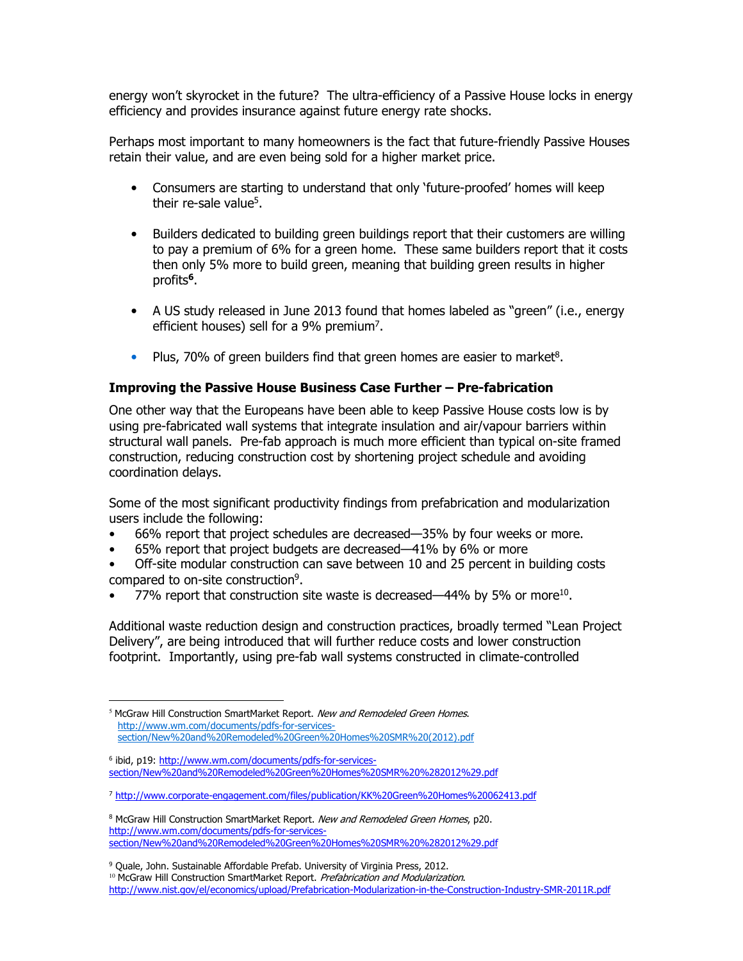energy won't skyrocket in the future? The ultra-efficiency of a Passive House locks in energy efficiency and provides insurance against future energy rate shocks.

Perhaps most important to many homeowners is the fact that future-friendly Passive Houses retain their value, and are even being sold for a higher market price.

- Consumers are starting to understand that only 'future-proofed' homes will keep their re-sale value<sup>5</sup>.
- Builders dedicated to building green buildings report that their customers are willing to pay a premium of 6% for a green home. These same builders report that it costs then only 5% more to build green, meaning that building green results in higher profits**<sup>6</sup>** .
- A US study released in June 2013 found that homes labeled as "green" (i.e., energy efficient houses) sell for a 9% premium<sup>7</sup>.
- Plus, 70% of green builders find that green homes are easier to market<sup>8</sup>.

### **Improving the Passive House Business Case Further – Pre-fabrication**

One other way that the Europeans have been able to keep Passive House costs low is by using pre-fabricated wall systems that integrate insulation and air/vapour barriers within structural wall panels. Pre-fab approach is much more efficient than typical on-site framed construction, reducing construction cost by shortening project schedule and avoiding coordination delays.

Some of the most significant productivity findings from prefabrication and modularization users include the following:

- 66% report that project schedules are decreased—35% by four weeks or more.
- 65% report that project budgets are decreased—41% by 6% or more
- Off-site modular construction can save between 10 and 25 percent in building costs compared to on-site construction<sup>9</sup>.
- 77% report that construction site waste is decreased—44% by 5% or more<sup>10</sup>.

Additional waste reduction design and construction practices, broadly termed "Lean Project Delivery", are being introduced that will further reduce costs and lower construction footprint. Importantly, using pre-fab wall systems constructed in climate-controlled

 $\overline{a}$ 

<sup>&</sup>lt;sup>5</sup> McGraw Hill Construction SmartMarket Report. New and Remodeled Green Homes. http://www.wm.com/documents/pdfs-for-servicessection/New%20and%20Remodeled%20Green%20Homes%20SMR%20(2012).pdf

<sup>&</sup>lt;sup>6</sup> ibid, p19: <u>http://www.wm.com/documents/pdfs-for-services-</u> section/New%20and%20Remodeled%20Green%20Homes%20SMR%20%282012%29.pdf

<sup>&</sup>lt;sup>7</sup> http://www.corporate-engagement.com/files/publication/KK%20Green%20Homes%20062413.pdf

<sup>&</sup>lt;sup>8</sup> McGraw Hill Construction SmartMarket Report. New and Remodeled Green Homes, p20. http://www.wm.com/documents/pdfs-for-servicessection/New%20and%20Remodeled%20Green%20Homes%20SMR%20%282012%29.pdf

<sup>&</sup>lt;sup>9</sup> Quale, John. Sustainable Affordable Prefab. University of Virginia Press, 2012.

<sup>&</sup>lt;sup>10</sup> McGraw Hill Construction SmartMarket Report. Prefabrication and Modularization. http://www.nist.gov/el/economics/upload/Prefabrication-Modularization-in-the-Construction-Industry-SMR-2011R.pdf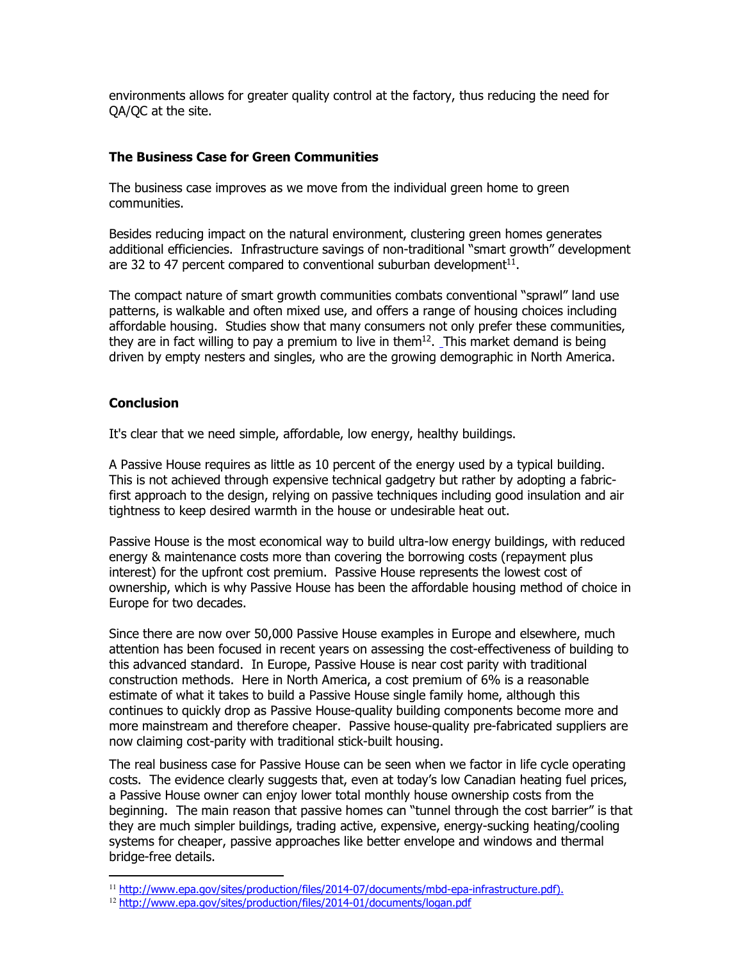environments allows for greater quality control at the factory, thus reducing the need for QA/QC at the site.

## **The Business Case for Green Communities**

The business case improves as we move from the individual green home to green communities.

Besides reducing impact on the natural environment, clustering green homes generates additional efficiencies. Infrastructure savings of non-traditional "smart growth" development are 32 to 47 percent compared to conventional suburban development $^{11}$ .

The compact nature of smart growth communities combats conventional "sprawl" land use patterns, is walkable and often mixed use, and offers a range of housing choices including affordable housing. Studies show that many consumers not only prefer these communities, they are in fact willing to pay a premium to live in them $^{12}$ . This market demand is being driven by empty nesters and singles, who are the growing demographic in North America.

# **Conclusion**

 $\overline{a}$ 

It's clear that we need simple, affordable, low energy, healthy buildings.

A Passive House requires as little as 10 percent of the energy used by a typical building. This is not achieved through expensive technical gadgetry but rather by adopting a fabricfirst approach to the design, relying on passive techniques including good insulation and air tightness to keep desired warmth in the house or undesirable heat out.

Passive House is the most economical way to build ultra-low energy buildings, with reduced energy & maintenance costs more than covering the borrowing costs (repayment plus interest) for the upfront cost premium. Passive House represents the lowest cost of ownership, which is why Passive House has been the affordable housing method of choice in Europe for two decades.

Since there are now over 50,000 Passive House examples in Europe and elsewhere, much attention has been focused in recent years on assessing the cost-effectiveness of building to this advanced standard. In Europe, Passive House is near cost parity with traditional construction methods. Here in North America, a cost premium of 6% is a reasonable estimate of what it takes to build a Passive House single family home, although this continues to quickly drop as Passive House-quality building components become more and more mainstream and therefore cheaper. Passive house-quality pre-fabricated suppliers are now claiming cost-parity with traditional stick-built housing.

The real business case for Passive House can be seen when we factor in life cycle operating costs. The evidence clearly suggests that, even at today's low Canadian heating fuel prices, a Passive House owner can enjoy lower total monthly house ownership costs from the beginning. The main reason that passive homes can "tunnel through the cost barrier" is that they are much simpler buildings, trading active, expensive, energy-sucking heating/cooling systems for cheaper, passive approaches like better envelope and windows and thermal bridge-free details.

<sup>11</sup> http://www.epa.gov/sites/production/files/2014-07/documents/mbd-epa-infrastructure.pdf).

<sup>12</sup> http://www.epa.gov/sites/production/files/2014-01/documents/logan.pdf